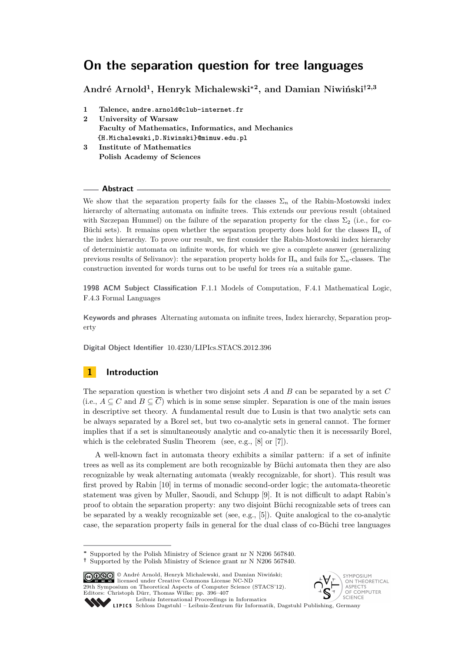# **On the separation question for tree languages**

**André Arnold<sup>1</sup> , Henryk Michalewski<sup>∗</sup><sup>2</sup> , and Damian Niwiński†2,3**

- **1 Talence, andre.arnold@club-internet.fr 2 University of Warsaw Faculty of Mathematics, Informatics, and Mechanics {H.Michalewski,D.Niwinski}@mimuw.edu.pl**
- **3 Institute of Mathematics Polish Academy of Sciences**

## **Abstract**

We show that the separation property fails for the classes  $\Sigma_n$  of the Rabin-Mostowski index hierarchy of alternating automata on infinite trees. This extends our previous result (obtained with Szczepan Hummel) on the failure of the separation property for the class  $\Sigma_2$  (i.e., for co-Büchi sets). It remains open whether the separation property does hold for the classes Π*<sup>n</sup>* of the index hierarchy. To prove our result, we first consider the Rabin-Mostowski index hierarchy of deterministic automata on infinite words, for which we give a complete answer (generalizing previous results of Selivanov): the separation property holds for Π*<sup>n</sup>* and fails for Σ*n*-classes. The construction invented for words turns out to be useful for trees *via* a suitable game.

**1998 ACM Subject Classification** F.1.1 Models of Computation, F.4.1 Mathematical Logic, F.4.3 Formal Languages

**Keywords and phrases** Alternating automata on infinite trees, Index hierarchy, Separation property

**Digital Object Identifier** [10.4230/LIPIcs.STACS.2012.396](http://dx.doi.org/10.4230/LIPIcs.STACS.2012.396)

# **1 Introduction**

The separation question is whether two disjoint sets *A* and *B* can be separated by a set *C* (i.e.,  $A \subseteq C$  and  $B \subseteq \overline{C}$ ) which is in some sense simpler. Separation is one of the main issues in descriptive set theory. A fundamental result due to Lusin is that two analytic sets can be always separated by a Borel set, but two co-analytic sets in general cannot. The former implies that if a set is simultaneously analytic and co-analytic then it is necessarily Borel, which is the celebrated Suslin Theorem (see, e.g., [\[8\]](#page-11-0) or [\[7\]](#page-11-1)).

A well-known fact in automata theory exhibits a similar pattern: if a set of infinite trees as well as its complement are both recognizable by Büchi automata then they are also recognizable by weak alternating automata (weakly recognizable, for short). This result was first proved by Rabin [\[10\]](#page-11-2) in terms of monadic second-order logic; the automata-theoretic statement was given by Muller, Saoudi, and Schupp [\[9\]](#page-11-3). It is not difficult to adapt Rabin's proof to obtain the separation property: any two disjoint Büchi recognizable sets of trees can be separated by a weakly recognizable set (see, e.g., [\[5\]](#page-11-4)). Quite analogical to the co-analytic case, the separation property fails in general for the dual class of co-Büchi tree languages

© André Arnold, Henryk Michalewski, and Damian Niwiński; licensed under Creative Commons License NC-ND 29th Symposium on Theoretical Aspects of Computer Science (STACS'12). Editors: Christoph Dürr, Thomas Wilke; pp. 396[–407](#page-11-5) [Leibniz International Proceedings in Informatics](http://www.dagstuhl.de/lipics/)



[Schloss Dagstuhl – Leibniz-Zentrum für Informatik, Dagstuhl Publishing, Germany](http://www.dagstuhl.de)

**<sup>∗</sup>** Supported by the Polish Ministry of Science grant nr N N206 567840.

**<sup>†</sup>** Supported by the Polish Ministry of Science grant nr N N206 567840.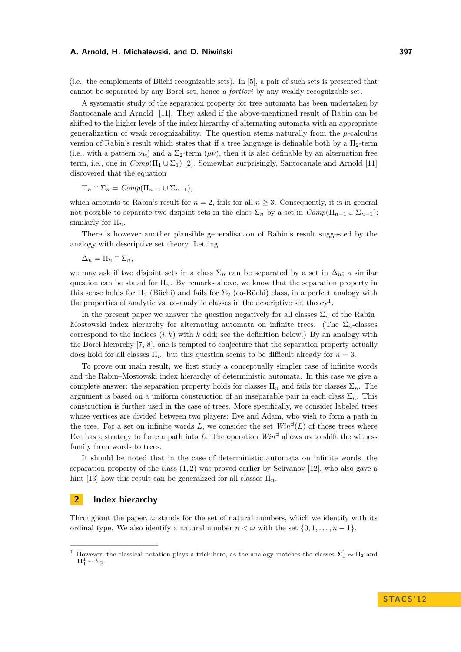(i.e., the complements of Büchi recognizable sets). In [\[5\]](#page-11-4), a pair of such sets is presented that cannot be separated by any Borel set, hence *a fortiori* by any weakly recognizable set.

A systematic study of the separation property for tree automata has been undertaken by Santocanale and Arnold [\[11\]](#page-11-6). They asked if the above-mentioned result of Rabin can be shifted to the higher levels of the index hierarchy of alternating automata with an appropriate generalization of weak recognizability. The question stems naturally from the  $\mu$ -calculus version of Rabin's result which states that if a tree language is definable both by a  $\Pi_2$ -term (i.e., with a pattern  $\nu\mu$ ) and a  $\Sigma_2$ -term ( $\mu\nu$ ), then it is also definable by an alternation free term, i.e., one in  $Comp(\Pi_1 \cup \Sigma_1)$  [\[2\]](#page-11-7). Somewhat surprisingly, Santocanale and Arnold [\[11\]](#page-11-6) discovered that the equation

$$
\Pi_n \cap \Sigma_n = Comp(\Pi_{n-1} \cup \Sigma_{n-1}),
$$

which amounts to Rabin's result for  $n = 2$ , fails for all  $n \geq 3$ . Consequently, it is in general not possible to separate two disjoint sets in the class  $\Sigma_n$  by a set in  $Comp(\Pi_{n-1} \cup \Sigma_{n-1});$ similarly for Π*n*.

There is however another plausible generalisation of Rabin's result suggested by the analogy with descriptive set theory. Letting

$$
\Delta_n = \Pi_n \cap \Sigma_n,
$$

we may ask if two disjoint sets in a class  $\Sigma_n$  can be separated by a set in  $\Delta_n$ ; a similar question can be stated for  $\Pi_n$ . By remarks above, we know that the separation property in this sense holds for  $\Pi_2$  (Büchi) and fails for  $\Sigma_2$  (co-Büchi) class, in a perfect analogy with the properties of analytic vs. co-analytic classes in the descriptive set theory<sup>1</sup>.

In the present paper we answer the question negatively for all classes  $\Sigma_n$  of the Rabin– Mostowski index hierarchy for alternating automata on infinite trees. (The  $\Sigma_n$ -classes correspond to the indices  $(i, k)$  with  $k$  odd; see the definition below.) By an analogy with the Borel hierarchy [\[7,](#page-11-1) [8\]](#page-11-0), one is tempted to conjecture that the separation property actually does hold for all classes  $\Pi_n$ , but this question seems to be difficult already for  $n = 3$ .

To prove our main result, we first study a conceptually simpler case of infinite words and the Rabin–Mostowski index hierarchy of deterministic automata. In this case we give a complete answer: the separation property holds for classes  $\Pi_n$  and fails for classes  $\Sigma_n$ . The argument is based on a uniform construction of an inseparable pair in each class  $\Sigma_n$ . This construction is further used in the case of trees. More specifically, we consider labeled trees whose vertices are divided between two players: Eve and Adam, who wish to form a path in the tree. For a set on infinite words  $L$ , we consider the set  $Win^{\exists}(L)$  of those trees where Eve has a strategy to force a path into L. The operation  $Win^{\exists}$  allows us to shift the witness family from words to trees.

It should be noted that in the case of deterministic automata on infinite words, the separation property of the class (1*,* 2) was proved earlier by Selivanov [\[12\]](#page-11-8), who also gave a hint [\[13\]](#page-11-9) how this result can be generalized for all classes  $\Pi_n$ .

# **2 Index hierarchy**

Throughout the paper,  $\omega$  stands for the set of natural numbers, which we identify with its ordinal type. We also identify a natural number  $n < \omega$  with the set  $\{0, 1, \ldots, n-1\}$ .

<sup>&</sup>lt;sup>1</sup> However, the classical notation plays a trick here, as the analogy matches the classes  $\Sigma_1^1 \sim \Pi_2$  and  $\Pi^1_1 \sim \Sigma_2$ .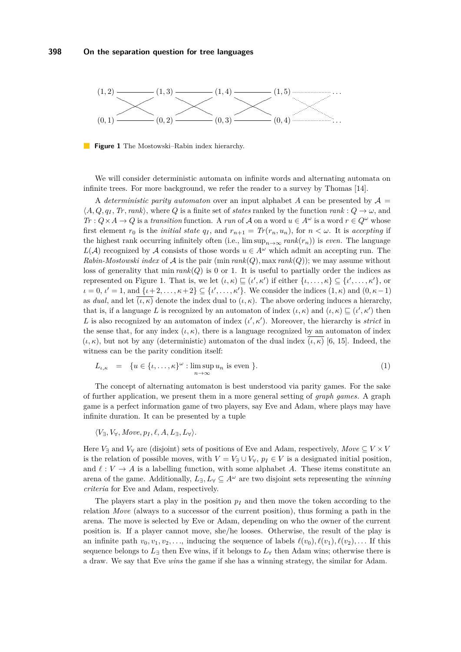<span id="page-2-0"></span>

**Figure 1** The Mostowski–Rabin index hierarchy.

We will consider deterministic automata on infinite words and alternating automata on infinite trees. For more background, we refer the reader to a survey by Thomas [\[14\]](#page-11-10).

A *deterministic parity automaton* over an input alphabet A can be presented by  $\mathcal{A} =$  $\langle A, Q, q_I, Tr, rank \rangle$ , where *Q* is a finite set of *states* ranked by the function  $rank: Q \to \omega$ , and *Tr* :  $Q \times A \to Q$  is a *transition* function. A *run* of A on a word  $u \in A^\omega$  is a word  $r \in Q^\omega$  whose first element  $r_0$  is the *initial state*  $q_I$ , and  $r_{n+1} = Tr(r_n, u_n)$ , for  $n < \omega$ . It is accepting if the highest rank occurring infinitely often (i.e.,  $\limsup_{n\to\infty} rank(r_n)$ ) is *even*. The language *L*(*A*) recognized by *A* consists of those words  $u \in A^\omega$  which admit an accepting run. The *Rabin-Mostowski index* of  $A$  is the pair (min  $rank(Q)$ , max  $rank(Q)$ ); we may assume without loss of generality that  $\min rank(Q)$  is 0 or 1. It is useful to partially order the indices as represented on Figure [1.](#page-2-0) That is, we let  $(\iota, \kappa) \sqsubseteq (\iota', \kappa')$  if either  $\{\iota, \ldots, \kappa\} \subseteq {\iota', \ldots, \kappa'}$ , or  $\iota = 0, \, \iota' = 1$ , and  $\{\iota + 2, \ldots, \kappa + 2\} \subseteq \{\iota', \ldots, \kappa'\}.$  We consider the indices  $(1, \kappa)$  and  $(0, \kappa - 1)$ as *dual*, and let  $(\iota, \kappa)$  denote the index dual to  $(\iota, \kappa)$ . The above ordering induces a hierarchy, that is, if a language *L* is recognized by an automaton of index  $(\iota, \kappa)$  and  $(\iota, \kappa) \sqsubseteq (\iota', \kappa')$  then L is also recognized by an automaton of index  $(\iota', \kappa')$ . Moreover, the hierarchy is *strict* in the sense that, for any index  $(\iota, \kappa)$ , there is a language recognized by an automaton of index  $(\iota, \kappa)$ , but not by any (deterministic) automaton of the dual index  $(\iota, \kappa)$  [\[6,](#page-11-11) [15\]](#page-11-12). Indeed, the witness can be the parity condition itself:

<span id="page-2-1"></span>
$$
L_{\iota,\kappa} = \{ u \in \{ \iota, \dots, \kappa \}^{\omega} : \limsup_{n \to \infty} u_n \text{ is even } \}.
$$
 (1)

The concept of alternating automaton is best understood via parity games. For the sake of further application, we present them in a more general setting of *graph games*. A graph game is a perfect information game of two players, say Eve and Adam, where plays may have infinite duration. It can be presented by a tuple

 $\langle V_{\exists}, V_{\forall}, \textit{Move}, p_I, \ell, A, L_{\exists}, L_{\forall} \rangle$ .

Here  $V_{\exists}$  and  $V_{\forall}$  are (disjoint) sets of positions of Eve and Adam, respectively, *Move*  $\subseteq V \times V$ is the relation of possible moves, with  $V = V_{\exists} \cup V_{\forall}$ ,  $p_I \in V$  is a designated initial position, and  $\ell : V \to A$  is a labelling function, with some alphabet *A*. These items constitute an arena of the game. Additionally,  $L_{\exists}$ ,  $L_{\forall} \subset A^{\omega}$  are two disjoint sets representing the *winning criteria* for Eve and Adam, respectively.

The players start a play in the position  $p_I$  and then move the token according to the relation *Move* (always to a successor of the current position), thus forming a path in the arena. The move is selected by Eve or Adam, depending on who the owner of the current position is. If a player cannot move, she/he looses. Otherwise, the result of the play is an infinite path  $v_0, v_1, v_2, \ldots$ , inducing the sequence of labels  $\ell(v_0), \ell(v_1), \ell(v_2), \ldots$  If this sequence belongs to  $L_{\exists}$  then Eve wins, if it belongs to  $L_{\forall}$  then Adam wins; otherwise there is a draw. We say that Eve *wins* the game if she has a winning strategy, the similar for Adam.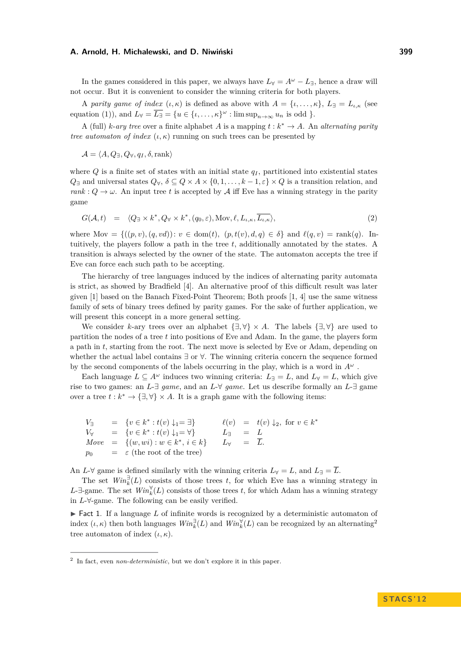In the games considered in this paper, we always have  $L_\forall = A^\omega - L_{\exists}$ , hence a draw will not occur. But it is convenient to consider the winning criteria for both players.

A *parity game of index*  $(\iota, \kappa)$  is defined as above with  $A = {\iota, \ldots, \kappa}, L_{\exists} = L_{\iota, \kappa}$  (see equation [\(1\)](#page-2-1)), and  $L_{\forall} = \overline{L_{\exists}} = \{u \in \{t, \dots, \kappa\}^{\omega} : \limsup_{n \to \infty} u_n \text{ is odd }\}.$ 

A (full) *k*-*ary tree* over a finite alphabet *A* is a mapping  $t : k^* \to A$ . An *alternating parity tree automaton of index*  $(\iota, \kappa)$  running on such trees can be presented by

 $\mathcal{A} = \langle A, Q_{\exists}, Q_{\forall}, q_I, \delta, \text{rank} \rangle$ 

where  $Q$  is a finite set of states with an initial state  $q_I$ , partitioned into existential states  $Q_{\exists}$  and universal states  $Q_{\forall}$ ,  $\delta \subseteq Q \times A \times \{0, 1, \ldots, k-1, \varepsilon\} \times Q$  is a transition relation, and  $rank: Q \to \omega$ . An input tree *t* is accepted by A iff Eve has a winning strategy in the parity game

<span id="page-3-0"></span>
$$
G(\mathcal{A},t) = \langle Q_{\exists} \times k^*, Q_{\forall} \times k^*, (q_0, \varepsilon), \text{Mov}, \ell, L_{\iota,\kappa}, \overline{L_{\iota,\kappa}} \rangle,
$$
\n(2)

where Mov =  $\{((p, v), (q, vd)) : v \in \text{dom}(t), (p, t(v), d, q) \in \delta\}$  and  $\ell(q, v) = \text{rank}(q)$ . Intuitively, the players follow a path in the tree *t*, additionally annotated by the states. A transition is always selected by the owner of the state. The automaton accepts the tree if Eve can force each such path to be accepting.

The hierarchy of tree languages induced by the indices of alternating parity automata is strict, as showed by Bradfield [\[4\]](#page-11-13). An alternative proof of this difficult result was later given [\[1\]](#page-11-14) based on the Banach Fixed-Point Theorem; Both proofs [\[1,](#page-11-14) [4\]](#page-11-13) use the same witness family of sets of binary trees defined by parity games. For the sake of further application, we will present this concept in a more general setting.

We consider *k*-ary trees over an alphabet  $\{\exists, \forall\} \times A$ . The labels  $\{\exists, \forall\}$  are used to partition the nodes of a tree *t* into positions of Eve and Adam. In the game, the players form a path in *t*, starting from the root. The next move is selected by Eve or Adam, depending on whether the actual label contains ∃ or ∀. The winning criteria concern the sequence formed by the second components of the labels occurring in the play, which is a word in  $A^{\omega}$ .

Each language  $L \subseteq A^\omega$  induces two winning criteria:  $L_{\exists} = L$ , and  $L_{\forall} = L$ , which give rise to two games: an *L*-∃ *game*, and an *L*-∀ *game*. Let us describe formally an *L*-∃ game over a tree  $t : k^* \to \{\exists, \forall\} \times A$ . It is a graph game with the following items:

| $V_{\exists}$ | $= \{v \in k^* : t(v) \downarrow_1 = \exists\}$ |                    | $\ell(v) = t(v) \downarrow_2, \text{ for } v \in k^*$ |
|---------------|-------------------------------------------------|--------------------|-------------------------------------------------------|
| $V_{\forall}$ | $= \{v \in k^* : t(v) \downarrow_1 = \forall\}$ | $L = L$            |                                                       |
|               | $Move = \{(w, wi) : w \in k^*, i \in k\}$       | $L_{\forall} = L.$ |                                                       |
| $p_{0}$       | $=$ $\varepsilon$ (the root of the tree)        |                    |                                                       |

An *L*- $\forall$  game is defined similarly with the winning criteria  $L_{\forall} = L$ , and  $L_{\exists} = \overline{L}$ .

The set  $Win_k^{\exists}(L)$  consists of those trees *t*, for which Eve has a winning strategy in *L*-∃-game. The set  $Win_{k}^{\forall}(L)$  consists of those trees *t*, for which Adam has a winning strategy in *L*-∀-game. The following can be easily verified.

<span id="page-3-1"></span> $\triangleright$  Fact 1. If a language *L* of infinite words is recognized by a deterministic automaton of index  $(\iota, \kappa)$  then both languages  $Win_k^{\exists}(L)$  and  $Win_k^{\forall}(L)$  can be recognized by an alternating<sup>2</sup> tree automaton of index  $(\iota, \kappa)$ .

<sup>2</sup> In fact, even *non-deterministic*, but we don't explore it in this paper.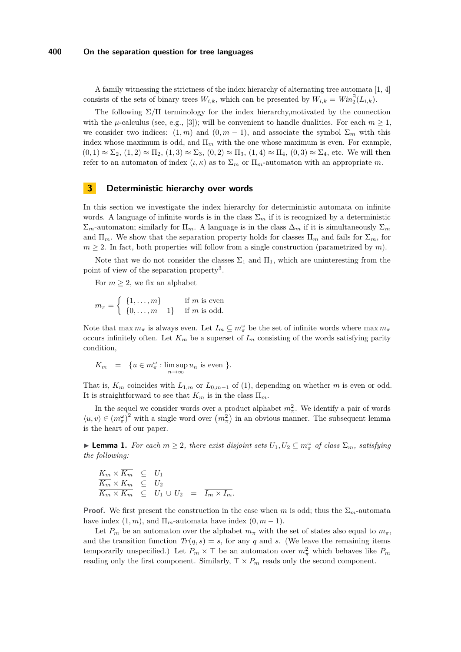## **400 On the separation question for tree languages**

A family witnessing the strictness of the index hierarchy of alternating tree automata [\[1,](#page-11-14) [4\]](#page-11-13) consists of the sets of binary trees  $W_{i,k}$ , which can be presented by  $W_{i,k} = Win_2^{\exists}(L_{i,k})$ .

The following  $\Sigma/\Pi$  terminology for the index hierarchy, motivated by the connection with the  $\mu$ -calculus (see, e.g., [\[3\]](#page-11-15)); will be convenient to handle dualities. For each  $m \geq 1$ , we consider two indices:  $(1, m)$  and  $(0, m - 1)$ , and associate the symbol  $\Sigma_m$  with this index whose maximum is odd, and  $\Pi_m$  with the one whose maximum is even. For example,  $(0,1) \approx \Sigma_2$ ,  $(1,2) \approx \Pi_2$ ,  $(1,3) \approx \Sigma_3$ ,  $(0,2) \approx \Pi_3$ ,  $(1,4) \approx \Pi_4$ ,  $(0,3) \approx \Sigma_4$ , etc. We will then refer to an automaton of index  $(\iota, \kappa)$  as to  $\Sigma_m$  or  $\Pi_m$ -automaton with an appropriate m.

# <span id="page-4-1"></span>**3 Deterministic hierarchy over words**

In this section we investigate the index hierarchy for deterministic automata on infinite words. A language of infinite words is in the class  $\Sigma_m$  if it is recognized by a deterministic  $\Sigma_m$ -automaton; similarly for Π<sub>*m*</sub>. A language is in the class  $\Delta_m$  if it is simultaneously  $\Sigma_m$ and  $\Pi_m$ . We show that the separation property holds for classes  $\Pi_m$  and fails for  $\Sigma_m$ , for  $m \geq 2$ . In fact, both properties will follow from a single construction (parametrized by *m*).

Note that we do not consider the classes  $\Sigma_1$  and  $\Pi_1$ , which are uninteresting from the point of view of the separation property<sup>3</sup>.

For  $m \geq 2$ , we fix an alphabet

$$
m_{\pi} = \begin{cases} \{1, \dots, m\} & \text{if } m \text{ is even} \\ \{0, \dots, m-1\} & \text{if } m \text{ is odd.} \end{cases}
$$

Note that  $\max m_{\pi}$  is always even. Let  $I_m \subseteq m_{\pi}^{\omega}$  be the set of infinite words where  $\max m_{\pi}$ occurs infinitely often. Let  $K_m$  be a superset of  $I_m$  consisting of the words satisfying parity condition,

$$
K_m = \{ u \in m_\pi^\omega : \limsup_{n \to \infty} u_n \text{ is even } \}.
$$

That is,  $K_m$  coincides with  $L_{1,m}$  or  $L_{0,m-1}$  of [\(1\)](#page-2-1), depending on whether *m* is even or odd. It is straightforward to see that  $K_m$  is in the class  $\Pi_m$ .

In the sequel we consider words over a product alphabet  $m_{\pi}^2$ . We identify a pair of words  $\langle u, v \rangle \in (m_\pi^{\omega})^2$  with a single word over  $(m_\pi^2)$  in an obvious manner. The subsequent lemma is the heart of our paper.

<span id="page-4-0"></span>► **Lemma 1.** *For each*  $m \geq 2$ *, there exist disjoint sets*  $U_1, U_2 \subseteq m_\pi^\omega$  *of class*  $\Sigma_m$ *, satisfying the following:*

$$
\frac{K_m \times \overline{K_m}}{\overline{K_m} \times K_m} \subseteq U_1
$$
\n
$$
\frac{\overline{K_m} \times K_m}{\overline{K_m} \times K_m} \subseteq U_2
$$
\n
$$
U_1 \cup U_2 = \overline{I_m \times I_m}.
$$

**Proof.** We first present the construction in the case when *m* is odd; thus the  $\Sigma_m$ -automata have index  $(1, m)$ , and  $\Pi_m$ -automata have index  $(0, m - 1)$ .

Let  $P_m$  be an automaton over the alphabet  $m_\pi$  with the set of states also equal to  $m_\pi$ , and the transition function  $Tr(q, s) = s$ , for any q and s. (We leave the remaining items temporarily unspecified.) Let  $P_m \times \top$  be an automaton over  $m_\pi^2$  which behaves like  $P_m$ reading only the first component. Similarly,  $\top \times P_m$  reads only the second component.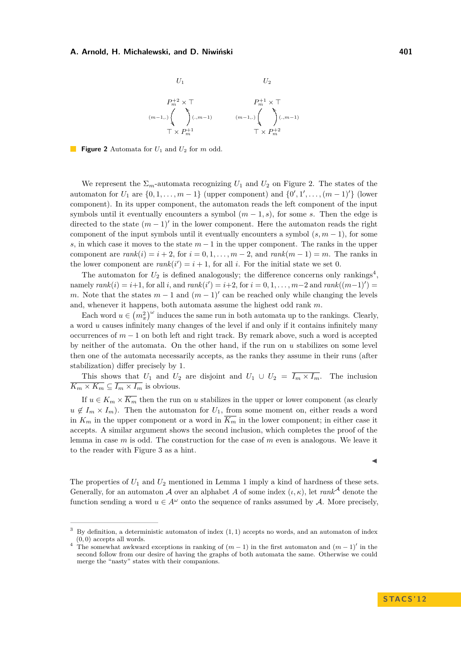<span id="page-5-0"></span>

**Figure 2** Automata for *U*<sup>1</sup> and *U*<sup>2</sup> for *m* odd.

We represent the  $\Sigma_m$ -automata recognizing  $U_1$  and  $U_2$  on Figure [2.](#page-5-0) The states of the automaton for  $U_1$  are  $\{0, 1, \ldots, m-1\}$  (upper component) and  $\{0', 1', \ldots, (m-1)'\}$  (lower component). In its upper component, the automaton reads the left component of the input symbols until it eventually encounters a symbol  $(m-1, s)$ , for some *s*. Then the edge is directed to the state  $(m-1)$ ' in the lower component. Here the automaton reads the right component of the input symbols until it eventually encounters a symbol  $(s, m - 1)$ , for some *s*, in which case it moves to the state *m* − 1 in the upper component. The ranks in the upper component are  $rank(i) = i + 2$ , for  $i = 0, 1, \ldots, m - 2$ , and  $rank(m - 1) = m$ . The ranks in the lower component are  $rank(i') = i + 1$ , for all *i*. For the initial state we set 0.

The automaton for  $U_2$  is defined analogously; the difference concerns only rankings<sup>4</sup>,  $\text{namely } rank(i) = i+1, \text{ for all } i, \text{ and } rank(i') = i+2, \text{ for } i = 0, 1, \ldots, m-2 \text{ and } rank((m-1)') = 0.$ *m*. Note that the states  $m-1$  and  $(m-1)$ ' can be reached only while changing the levels and, whenever it happens, both automata assume the highest odd rank *m*.

Each word  $u \in (m_{\pi}^2)^{\omega}$  induces the same run in both automata up to the rankings. Clearly, a word *u* causes infinitely many changes of the level if and only if it contains infinitely many occurrences of  $m-1$  on both left and right track. By remark above, such a word is accepted by neither of the automata. On the other hand, if the run on *u* stabilizes on some level then one of the automata necessarily accepts, as the ranks they assume in their runs (after stabilization) differ precisely by 1.

This shows that  $U_1$  and  $U_2$  are disjoint and  $U_1 \cup U_2 = \overline{I_m \times I_m}$ . The inclusion  $\overline{K_m \times K_m} \subseteq \overline{I_m \times I_m}$  is obvious.

If  $u \in K_m \times \overline{K_m}$  then the run on *u* stabilizes in the upper or lower component (as clearly  $u \notin I_m \times I_m$ ). Then the automaton for  $U_1$ , from some moment on, either reads a word in  $K_m$  in the upper component or a word in  $\overline{K_m}$  in the lower component; in either case it accepts. A similar argument shows the second inclusion, which completes the proof of the lemma in case *m* is odd. The construction for the case of *m* even is analogous. We leave it to the reader with Figure [3](#page-6-0) as a hint.

The properties of  $U_1$  and  $U_2$  mentioned in Lemma [1](#page-4-0) imply a kind of hardness of these sets. Generally, for an automaton A over an alphabet A of some index  $(\iota, \kappa)$ , let  $rank^{\mathcal{A}}$  denote the function sending a word  $u \in A^{\omega}$  onto the sequence of ranks assumed by A. More precisely,

 $\blacktriangleleft$ 

<sup>3</sup> By definition, a deterministic automaton of index (1*,* 1) accepts no words, and an automaton of index (0*,* 0) accepts all words.

<sup>&</sup>lt;sup>4</sup> The somewhat awkward exceptions in ranking of  $(m-1)$  in the first automaton and  $(m-1)'$  in the second follow from our desire of having the graphs of both automata the same. Otherwise we could merge the "nasty" states with their companions.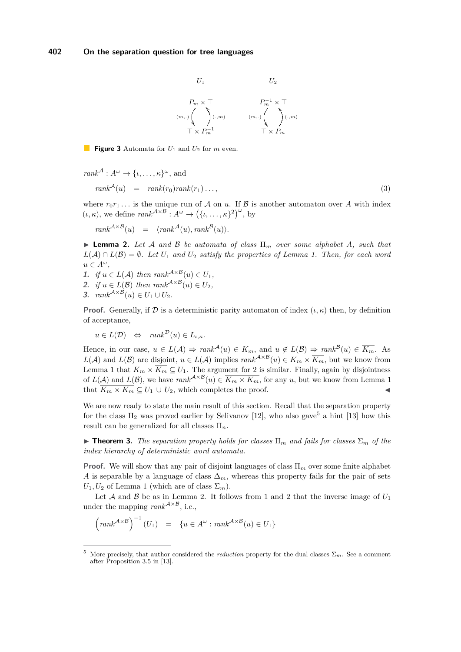

<span id="page-6-0"></span>**Figure 3** Automata for *U*<sup>1</sup> and *U*<sup>2</sup> for *m* even.

$$
rank^{A}: A^{\omega} \to \{\iota, \dots, \kappa\}^{\omega}, \text{ and}
$$

$$
rank^{A}(u) = rank(r_{0})rank(r_{1}) \dots,
$$
 (3)

where  $r_0r_1...$  is the unique run of A on *u*. If B is another automaton over A with index  $(\iota, \kappa)$ , we define  $rank^{A \times B} : A^{\omega} \to (\{\iota, \dots, \kappa\}^2)^{\omega}$ , by

 $rank^{A \times B}(u) = \langle rank^{A}(u), rank^{B}(u) \rangle.$ 

<span id="page-6-2"></span> $\triangleright$  **Lemma 2.** Let A and B be automata of class  $\Pi_m$  over some alphabet A, such that *L*( $A$ ) ∩ *L*( $B$ ) =  $\emptyset$ *. Let*  $U_1$  *and*  $U_2$  *satisfy the properties of Lemma [1.](#page-4-0) Then, for each word*  $u \in A^{\omega}$ ,

- <span id="page-6-3"></span>1. *if*  $u \in L(\mathcal{A})$  *then*  $rank^{\mathcal{A} \times \mathcal{B}}(u) \in U_1$ ,
- <span id="page-6-1"></span>2. *if*  $u \in L(\mathcal{B})$  *then*  $rank^{\mathcal{A} \times \mathcal{B}}(u) \in U_2$ ,

<span id="page-6-4"></span>3. 
$$
rank^{\mathcal{A}\times\mathcal{B}}(u) \in U_1 \cup U_2.
$$

**Proof.** Generally, if  $\mathcal{D}$  is a deterministic parity automaton of index  $(\iota, \kappa)$  then, by definition of acceptance,

$$
u \in L(\mathcal{D}) \iff \operatorname{rank}^{\mathcal{D}}(u) \in L_{\iota,\kappa}.
$$

Hence, in our case,  $u \in L(\mathcal{A}) \Rightarrow \text{rank}^{\mathcal{A}}(u) \in K_m$ , and  $u \notin L(\mathcal{B}) \Rightarrow \text{rank}^{\mathcal{B}}(u) \in \overline{K_m}$ . As *L*(*A*) and *L*(*B*) are disjoint,  $u \in L(A)$  implies  $rank^{A \times B}(u) \in K_m \times \overline{K_m}$ , but we know from Lemma [1](#page-4-0) that  $K_m \times \overline{K_m} \subseteq U_1$ . The argument for [2](#page-6-1) is similar. Finally, again by disjointness of  $L(\mathcal{A})$  and  $L(\mathcal{B})$ , we have  $rank^{\mathcal{A}\times\mathcal{B}}(u) \in \overline{K_m \times K_m}$ , for any *u*, but we know from Lemma [1](#page-4-0) that  $\overline{K_m \times K_m} \subseteq U_1 \cup U_2$ , which completes the proof.

We are now ready to state the main result of this section. Recall that the separation property for the class  $\Pi_2$  was proved earlier by Selivanov [\[12\]](#page-11-8), who also gave<sup>5</sup> a hint [\[13\]](#page-11-9) how this result can be generalized for all classes Π*n*.

<span id="page-6-5"></span> $\triangleright$  **Theorem 3.** *The separation property holds for classes*  $\Pi_m$  *and fails for classes*  $\Sigma_m$  *of the index hierarchy of deterministic word automata.*

**Proof.** We will show that any pair of disjoint languages of class Π*<sup>m</sup>* over some finite alphabet *A* is separable by a language of class  $\Delta_m$ , whereas this property fails for the pair of sets  $U_1, U_2$  of Lemma [1](#page-4-0) (which are of class  $\Sigma_m$ ).

Let  $A$  and  $B$  be as in Lemma [2.](#page-6-2) It follows from [1](#page-6-3) and [2](#page-6-1) that the inverse image of  $U_1$ under the mapping  $rank^{A \times B}$ , i.e.,

$$
\left(\operatorname{rank}^{\mathcal{A}\times\mathcal{B}}\right)^{-1}(U_1) = \{u \in A^{\omega} : \operatorname{rank}^{\mathcal{A}\times\mathcal{B}}(u) \in U_1\}
$$

More precisely, that author considered the *reduction* property for the dual classes  $\Sigma_m$ . See a comment after Proposition 3.5 in [\[13\]](#page-11-9).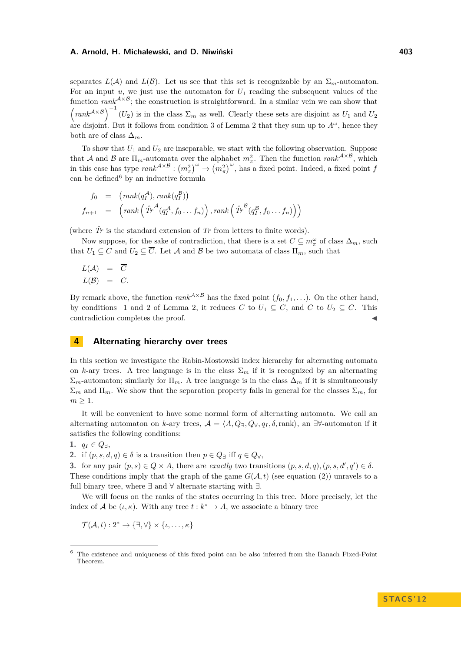separates  $L(\mathcal{A})$  and  $L(\mathcal{B})$ . Let us see that this set is recognizable by an  $\Sigma_m$ -automaton. For an input  $u$ , we just use the automaton for  $U_1$  reading the subsequent values of the function  $rank^{A\times B}$ ; the construction is straightforward. In a similar vein we can show that  $\left(\text{rank}^{\mathcal{A}\times\mathcal{B}}\right)^{-1}(U_2)$  is in the class  $\Sigma_m$  as well. Clearly these sets are disjoint as  $U_1$  and  $U_2$ are disjoint. But it follows from condition [3](#page-6-4) of Lemma [2](#page-6-2) that they sum up to  $A^\omega$ , hence they both are of class  $\Delta_m$ .

To show that  $U_1$  and  $U_2$  are inseparable, we start with the following observation. Suppose that A and B are  $\Pi_m$ -automata over the alphabet  $m_\pi^2$ . Then the function  $rank^{A \times B}$ , which in this case has type  $rank^{A\times B} : (m_\pi^2)^\omega \to (m_\pi^2)^\omega$ , has a fixed point. Indeed, a fixed point *f* can be defined $6$  by an inductive formula

$$
f_0 = (rank(q_1^{\mathcal{A}}), rank(q_1^{\mathcal{B}}))
$$
  

$$
f_{n+1} = (rank(\hat{Tr}^{\mathcal{A}}(q_1^{\mathcal{A}}, f_0...f_n)), rank(\hat{Tr}^{\mathcal{B}}(q_1^{\mathcal{B}}, f_0...f_n)))
$$

(where  $\hat{T}r$  is the standard extension of  $Tr$  from letters to finite words).

Now suppose, for the sake of contradiction, that there is a set  $C \subseteq m_{\pi}^{\omega}$  of class  $\Delta_m$ , such that  $U_1 \subseteq C$  and  $U_2 \subseteq \overline{C}$ . Let A and B be two automata of class  $\Pi_m$ , such that

$$
L(\mathcal{A}) = \overline{C}
$$
  

$$
L(\mathcal{B}) = C.
$$

By remark above, the function  $rank^{A\times B}$  has the fixed point  $(f_0, f_1, \ldots)$ . On the other hand, by conditions [1](#page-6-3) and [2](#page-6-1) of Lemma [2,](#page-6-2) it reduces  $\overline{C}$  to  $U_1 \subseteq C$ , and  $C$  to  $U_2 \subseteq \overline{C}$ . This contradiction completes the proof.

# **4 Alternating hierarchy over trees**

In this section we investigate the Rabin-Mostowski index hierarchy for alternating automata on *k*-ary trees. A tree language is in the class  $\Sigma_m$  if it is recognized by an alternating  $\Sigma_m$ -automaton; similarly for  $\Pi_m$ . A tree language is in the class  $\Delta_m$  if it is simultaneously  $\Sigma_m$  and  $\Pi_m$ . We show that the separation property fails in general for the classes  $\Sigma_m$ , for  $m \geq 1$ .

It will be convenient to have some normal form of alternating automata. We call an alternating automaton on *k*-ary trees,  $\mathcal{A} = \langle A, Q_{\exists}, Q_{\forall}, q_I, \delta, \text{rank} \rangle$ , an  $\exists \forall$ -automaton if it satisfies the following conditions:

**1.**  $q_I$  ∈  $Q_$ <sub>∃</sub>,

**2.** if  $(p, s, d, q) \in \delta$  is a transition then  $p \in Q$  iff  $q \in Q_0$ ,

<span id="page-7-0"></span>**3.** for any pair  $(p, s) \in Q \times A$ , there are *exactly* two transitions  $(p, s, d, q)$ ,  $(p, s, d', q') \in \delta$ . These conditions imply that the graph of the game  $G(\mathcal{A}, t)$  (see equation [\(2\)](#page-3-0)) unravels to a full binary tree, where ∃ and ∀ alternate starting with ∃.

We will focus on the ranks of the states occurring in this tree. More precisely, let the index of A be  $(\iota, \kappa)$ . With any tree  $t : k^* \to A$ , we associate a binary tree

$$
\mathcal{T}(\mathcal{A},t):2^*\rightarrow\{\exists,\forall\}\times\{\iota,\ldots,\kappa\}
$$

<sup>6</sup> The existence and uniqueness of this fixed point can be also inferred from the Banach Fixed-Point Theorem.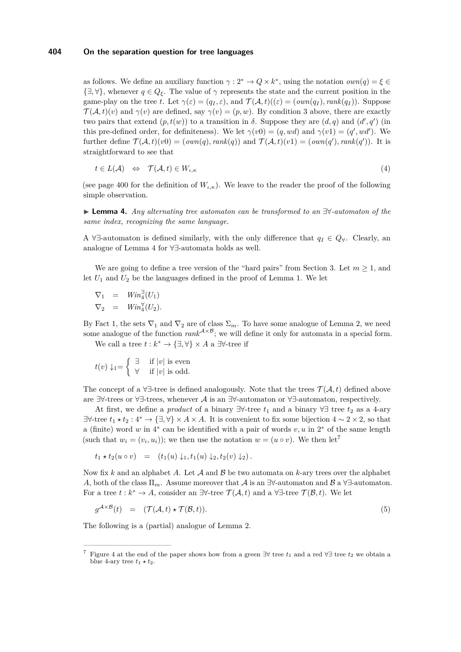## **404 On the separation question for tree languages**

as follows. We define an auxiliary function  $\gamma : 2^* \to Q \times k^*$ , using the notation  $own(q) = \xi \in$  $\{\exists, \forall\}$ , whenever  $q \in Q_{\xi}$ . The value of  $\gamma$  represents the state and the current position in the game-play on the tree *t*. Let  $\gamma(\varepsilon) = (q_I, \varepsilon)$ , and  $\mathcal{T}(\mathcal{A}, t)((\varepsilon) = (own(q_I), rank(q_I))$ . Suppose  $\mathcal{T}(\mathcal{A},t)(v)$  and  $\gamma(v)$  are defined, say  $\gamma(v) = (p,w)$ . By condition [3](#page-7-0) above, there are exactly two pairs that extend  $(p, t(w))$  to a transition in  $\delta$ . Suppose they are  $(d, q)$  and  $(d', q')$  (in this pre-defined order, for definiteness). We let  $\gamma(v0) = (q, wd)$  and  $\gamma(v1) = (q', wd')$ . We further define  $\mathcal{T}(\mathcal{A},t)(v0) = (own(q), rank(q))$  and  $\mathcal{T}(\mathcal{A},t)(v1) = (own(q'), rank(q'))$ . It is straightforward to see that

<span id="page-8-1"></span>
$$
t \in L(\mathcal{A}) \quad \Leftrightarrow \quad \mathcal{T}(\mathcal{A}, t) \in W_{\iota, \kappa} \tag{4}
$$

(see page [400](#page-3-1) for the definition of  $W_{i,k}$ ). We leave to the reader the proof of the following simple observation.

<span id="page-8-0"></span>I **Lemma 4.** *Any alternating tree automaton can be transformed to an* ∃∀*-automaton of the same index, recognizing the same language.*

A ∀∃-automaton is defined similarly, with the only difference that *q<sup>I</sup>* ∈ *Q*∀. Clearly, an analogue of Lemma [4](#page-8-0) for ∀∃-automata holds as well.

We are going to define a tree version of the "hard pairs" from Section [3.](#page-4-1) Let  $m \geq 1$ , and let  $U_1$  and  $U_2$  be the languages defined in the proof of Lemma [1.](#page-4-0) We let

$$
\nabla_1 = Win_4^{\exists}(U_1)
$$
  

$$
\nabla_2 = Win_4^{\forall}(U_2).
$$

By Fact [1,](#page-3-1) the sets  $\nabla_1$  and  $\nabla_2$  are of class  $\Sigma_m$ . To have some analogue of Lemma [2,](#page-6-2) we need some analogue of the function  $rank^{A\times B}$ ; we will define it only for automata in a special form. We call a tree  $t : k^* \to \{\exists, \forall\} \times A$  a  $\exists \forall$ -tree if

 $\int$   $\exists$  if  $|v|$  is even

$$
t(v) \downarrow_1 = \left\{ \begin{array}{ll} \square & \text{if } |v| \text{ is odd.} \\ \forall & \text{if } |v| \text{ is odd.} \end{array} \right.
$$

The concept of a  $\forall \exists$ -tree is defined analogously. Note that the trees  $\mathcal{T}(\mathcal{A},t)$  defined above are  $\exists\forall$ -trees or  $\forall\exists$ -trees, whenever A is an  $\exists\forall$ -automaton or  $\forall\exists$ -automaton, respectively.

At first, we define a *product* of a binary  $\exists \forall$ -tree  $t_1$  and a binary  $\forall \exists$  tree  $t_2$  as a 4-ary ∃∀-tree  $t_1 \star t_2 : 4^* \to {\exists, \forall} \times A \times A$ . It is convenient to fix some bijection  $4 \sim 2 \times 2$ , so that a (finite) word *w* in 4<sup>\*</sup> can be identified with a pair of words *v*, *u* in 2<sup>\*</sup> of the same length (such that  $w_i = (v_i, u_i)$ ); we then use the notation  $w = (u \circ v)$ . We then let<sup>7</sup>

$$
t_1 * t_2(u \circ v) = (t_1(u) \downarrow_1, t_1(u) \downarrow_2, t_2(v) \downarrow_2).
$$

Now fix *k* and an alphabet *A*. Let A and B be two automata on *k*-ary trees over the alphabet *A*, both of the class  $\Pi_m$ . Assume moreover that A is an  $\exists\forall$ -automaton and B a  $\forall\exists$ -automaton. For a tree  $t : k^* \to A$ , consider an  $\exists \forall$ -tree  $\mathcal{T}(\mathcal{A}, t)$  and a  $\forall \exists$ -tree  $\mathcal{T}(\mathcal{B}, t)$ . We let

$$
g^{\mathcal{A} \times \mathcal{B}}(t) = (\mathcal{T}(\mathcal{A}, t) \star \mathcal{T}(\mathcal{B}, t)). \tag{5}
$$

The following is a (partial) analogue of Lemma [2.](#page-6-2)

<sup>&</sup>lt;sup>7</sup> Figure [4](#page-10-0) at the end of the paper shows how from a green  $\exists \forall$  tree  $t_1$  and a red  $\forall \exists$  tree  $t_2$  we obtain a blue 4-ary tree  $t_1 \star t_2$ .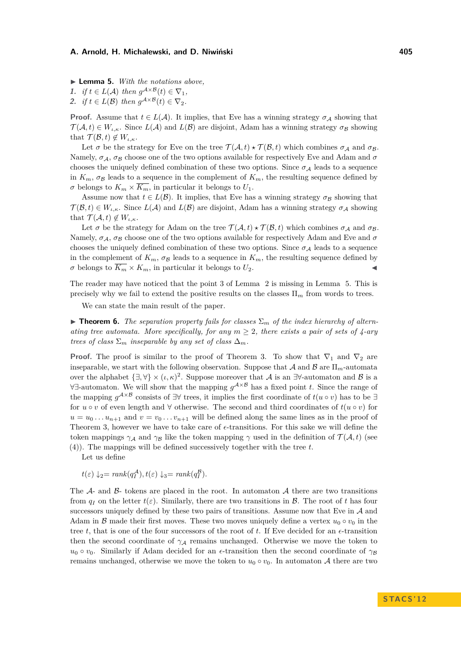<span id="page-9-0"></span>▶ **Lemma 5.** *With the notations above*,

1. *if*  $t \in L(\mathcal{A})$  *then*  $g^{\mathcal{A} \times \mathcal{B}}(t) \in \nabla_1$ ,

2. *if*  $t \in L(\mathcal{B})$  *then*  $g^{\mathcal{A} \times \mathcal{B}}(t) \in \nabla_2$ .

**Proof.** Assume that  $t \in L(\mathcal{A})$ . It implies, that Eve has a winning strategy  $\sigma_A$  showing that  $\mathcal{T}(\mathcal{A},t) \in W_{i,k}$ . Since  $L(\mathcal{A})$  and  $L(\mathcal{B})$  are disjoint, Adam has a winning strategy  $\sigma_{\mathcal{B}}$  showing that  $\mathcal{T}(\mathcal{B},t) \notin W_{\iota,\kappa}$ .

Let  $\sigma$  be the strategy for Eve on the tree  $\mathcal{T}(\mathcal{A},t) \star \mathcal{T}(\mathcal{B},t)$  which combines  $\sigma_{\mathcal{A}}$  and  $\sigma_{\mathcal{B}}$ . Namely,  $\sigma_A$ ,  $\sigma_B$  choose one of the two options available for respectively Eve and Adam and  $\sigma$ chooses the uniquely defined combination of these two options. Since  $\sigma_A$  leads to a sequence in  $K_m$ ,  $\sigma_B$  leads to a sequence in the complement of  $K_m$ , the resulting sequence defined by  $\sigma$  belongs to  $K_m \times \overline{K_m}$ , in particular it belongs to  $U_1$ .

Assume now that  $t \in L(\mathcal{B})$ . It implies, that Eve has a winning strategy  $\sigma_{\mathcal{B}}$  showing that  $\mathcal{T}(\mathcal{B},t) \in W_{i,k}$ . Since  $L(\mathcal{A})$  and  $L(\mathcal{B})$  are disjoint, Adam has a winning strategy  $\sigma_{\mathcal{A}}$  showing that  $\mathcal{T}(\mathcal{A},t) \notin W_{\iota,\kappa}$ .

Let  $\sigma$  be the strategy for Adam on the tree  $\mathcal{T}(\mathcal{A},t) \star \mathcal{T}(\mathcal{B},t)$  which combines  $\sigma_A$  and  $\sigma_B$ . Namely,  $\sigma_A$ ,  $\sigma_B$  choose one of the two options available for respectively Adam and Eve and  $\sigma$ chooses the uniquely defined combination of these two options. Since  $\sigma_A$  leads to a sequence in the complement of  $K_m$ ,  $\sigma_B$  leads to a sequence in  $K_m$ , the resulting sequence defined by  $\sigma$  belongs to  $\overline{K_m} \times K_m$ , in particular it belongs to  $U_2$ .

The reader may have noticed that the point [3](#page-6-4) of Lemma [2](#page-6-2) is missing in Lemma [5.](#page-9-0) This is precisely why we fail to extend the positive results on the classes  $\Pi_m$  from words to trees.

We can state the main result of the paper.

<span id="page-9-1"></span>**If Theorem 6.** The separation property fails for classes  $\Sigma_m$  of the index hierarchy of altern*ating tree automata. More specifically, for any*  $m \geq 2$ , there exists a pair of sets of 4-ary *trees of class*  $\Sigma_m$  *inseparable by any set of class*  $\Delta_m$ *.* 

**Proof.** The proof is similar to the proof of Theorem [3.](#page-6-5) To show that  $\nabla_1$  and  $\nabla_2$  are inseparable, we start with the following observation. Suppose that A and B are  $\Pi_m$ -automata over the alphabet  $\{\exists, \forall\} \times (\iota, \kappa)^2$ . Suppose moreover that A is an  $\exists\forall$ -automaton and B is a ∀∃-automaton. We will show that the mapping *g* A×B has a fixed point *t*. Since the range of the mapping  $g^{\mathcal{A}\times\mathcal{B}}$  consists of ∃∀ trees, it implies the first coordinate of  $t(u \circ v)$  has to be ∃ for  $u \circ v$  of even length and  $\forall$  otherwise. The second and third coordinates of  $t(u \circ v)$  for  $u = u_0 \dots u_{n+1}$  and  $v = v_0 \dots v_{n+1}$  will be defined along the same lines as in the proof of Theorem [3,](#page-6-5) however we have to take care of  $\epsilon$ -transitions. For this sake we will define the token mappings  $\gamma_A$  and  $\gamma_B$  like the token mapping  $\gamma$  used in the definition of  $\mathcal{T}(\mathcal{A},t)$  (see [\(4\)](#page-8-1)). The mappings will be defined successively together with the tree *t*.

Let us define

 $t(\varepsilon) \downarrow_2 = \text{rank}(q_I^{\mathcal{A}}), t(\varepsilon) \downarrow_3 = \text{rank}(q_I^{\mathcal{B}}).$ 

The  $\mathcal{A}_-$  and  $\mathcal{B}_-$  tokens are placed in the root. In automaton  $\mathcal{A}_-$  there are two transitions from  $q_I$  on the letter  $t(\varepsilon)$ . Similarly, there are two transitions in  $\mathcal{B}$ . The root of t has four successors uniquely defined by these two pairs of transitions. Assume now that Eve in  $A$  and Adam in B made their first moves. These two moves uniquely define a vertex  $u_0 \circ v_0$  in the tree *t*, that is one of the four successors of the root of *t*. If Eve decided for an  $\epsilon$ -transition then the second coordinate of  $\gamma_A$  remains unchanged. Otherwise we move the token to  $u_0 \circ v_0$ . Similarly if Adam decided for an  $\epsilon$ -transition then the second coordinate of  $\gamma_B$ remains unchanged, otherwise we move the token to  $u_0 \circ v_0$ . In automaton A there are two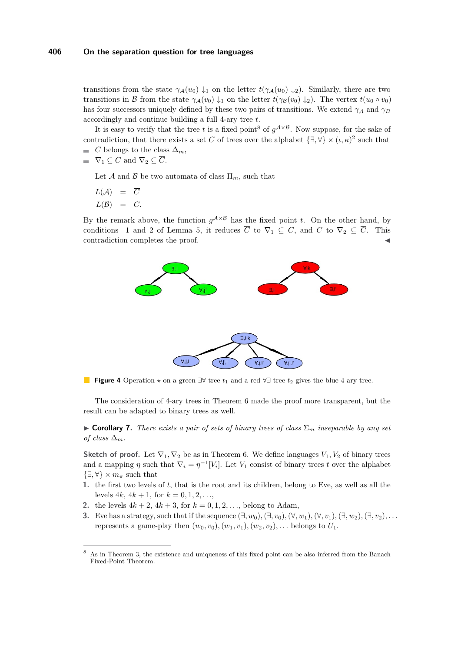transitions from the state  $\gamma_A(u_0) \downarrow_1$  on the letter  $t(\gamma_A(u_0) \downarrow_2)$ . Similarly, there are two transitions in B from the state  $\gamma_A(v_0) \downarrow_1$  on the letter  $t(\gamma_B(v_0) \downarrow_2)$ . The vertex  $t(u_0 \circ v_0)$ has four successors uniquely defined by these two pairs of transitions. We extend  $\gamma_A$  and  $\gamma_B$ accordingly and continue building a full 4-ary tree *t*.

It is easy to verify that the tree *t* is a fixed point<sup>8</sup> of  $g^{A \times B}$ . Now suppose, for the sake of contradiction, that there exists a set *C* of trees over the alphabet  $\{\exists, \forall\} \times (\iota, \kappa)^2$  such that  $C$  belongs to the class  $\Delta_m$ ,

**■**  $\nabla_1 \subseteq C$  and  $\nabla_2 \subseteq \overline{C}$ .

Let A and B be two automata of class  $\Pi_m$ , such that

 $L(A) = \overline{C}$  $L(\mathcal{B}) = C$ .

<span id="page-10-0"></span>By the remark above, the function  $g^{\mathcal{A}\times\mathcal{B}}$  has the fixed point *t*. On the other hand, by conditions [1](#page-6-3) and [2](#page-6-1) of Lemma [5,](#page-9-0) it reduces  $\overline{C}$  to  $\nabla_1 \subseteq C$ , and  $C$  to  $\nabla_2 \subseteq \overline{C}$ . This contradiction completes the proof.



**Figure 4** Operation  $\star$  on a green  $\exists \forall$  tree  $t_1$  and a red  $\forall \exists$  tree  $t_2$  gives the blue 4-ary tree.

The consideration of 4-ary trees in Theorem [6](#page-9-1) made the proof more transparent, but the result can be adapted to binary trees as well.

**Corollary 7.** *There exists a pair of sets of binary trees of class*  $\Sigma_m$  *inseparable by any set of class*  $\Delta_m$ *.* 

**Sketch of proof.** Let  $\nabla_1, \nabla_2$  be as in Theorem [6.](#page-9-1) We define languages  $V_1, V_2$  of binary trees and a mapping  $\eta$  such that  $\nabla_i = \eta^{-1}[V_i]$ . Let  $V_1$  consist of binary trees *t* over the alphabet  $\{\exists, \forall\} \times m_\pi$  such that

- <span id="page-10-1"></span>**1.** the first two levels of *t*, that is the root and its children, belong to Eve, as well as all the levels  $4k$ ,  $4k + 1$ , for  $k = 0, 1, 2, \ldots$ ,
- <span id="page-10-2"></span>**2.** the levels  $4k + 2$ ,  $4k + 3$ , for  $k = 0, 1, 2, \ldots$ , belong to Adam,
- <span id="page-10-3"></span>**3.** Eve has a strategy, such that if the sequence  $(\exists, w_0), (\exists, v_0), (\forall, w_1), (\forall, v_1), (\exists, w_2), (\exists, v_2), \ldots$ represents a game-play then  $(w_0, v_0), (w_1, v_1), (w_2, v_2), \ldots$  belongs to  $U_1$ .

<sup>8</sup> As in Theorem [3,](#page-6-5) the existence and uniqueness of this fixed point can be also inferred from the Banach Fixed-Point Theorem.